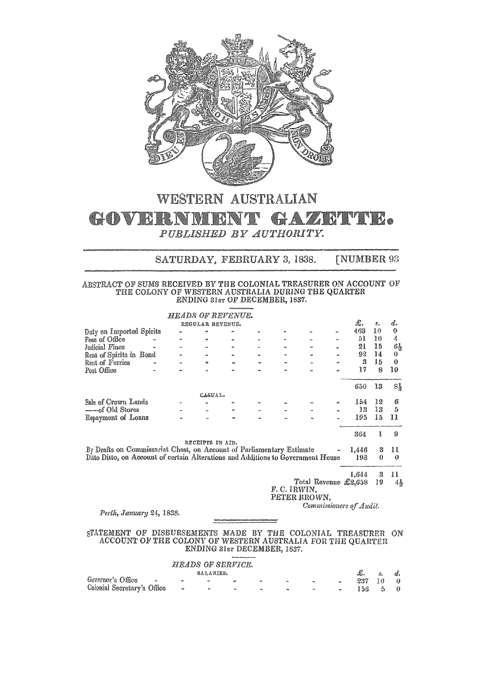

## WESTERN AUSTRALIAN GOVERNMENT GAZETTE. PUBLISHED BY AUTHORITY.

## SATURDAY, FEBRUARY 3, 1838. **[NUMBER 93**

## $\begin{array}{c} {\bf ABSTRACT\ OF\ SUMS\ RECEIVED\ BY\ THE\ COLONIAL\ TREASURER\ ON\ ACCOUNT\ OF\\ \bf THE\ COLONY\ OF\ WESTERN\ AUSTRALIA\ DURING\ THE\ QUARTER\\ \bf ENDING\ S1sr\ OF\ DECEMBER, 1837. \end{array}$

|                                                                                  |           | <b>HEADS OF REVENUE.</b> |           |     |             |                              |                         |    |                |
|----------------------------------------------------------------------------------|-----------|--------------------------|-----------|-----|-------------|------------------------------|-------------------------|----|----------------|
|                                                                                  |           | REGULAR REVENUE.         |           |     |             |                              | £.                      | 8. | d.             |
| Duty on Imported Spirits                                                         |           |                          |           |     |             |                              | 463                     | 10 | $\mathbf 0$    |
| Fees of Office                                                                   |           | ۰                        |           |     |             |                              | 51                      | 10 | 4              |
| Judicial Fines                                                                   | $\bullet$ |                          |           |     |             |                              | 21                      | 15 | $6\frac{1}{2}$ |
| Rent of Spirits in Bond                                                          |           |                          |           |     |             |                              | 92                      | 14 | 0              |
| Rent of Ferries                                                                  |           |                          | on.       |     |             |                              | 3                       | 15 | $\mathbf 0$    |
| Post Office                                                                      |           |                          |           |     |             |                              | 17                      | 8  | 10             |
|                                                                                  |           |                          |           |     |             |                              | 650                     | 13 | Sł             |
|                                                                                  |           | CASUAL.                  |           |     |             |                              |                         |    |                |
| Sale of Crown Lands                                                              |           |                          |           |     |             |                              | 154                     | 12 | 6              |
| ----of Old Stores                                                                |           |                          |           |     |             |                              | 13                      | 13 | 5              |
| Repayment of Loans                                                               |           |                          | $\bullet$ |     |             |                              | 195                     | 15 | 11             |
|                                                                                  |           |                          |           |     |             |                              | 364                     | 1  | 9              |
|                                                                                  |           | RECEIPTS IN AID.         |           |     |             |                              |                         |    |                |
| By Drafts on Commissariat Chest, on Account of Parliamentary Estimate            |           |                          |           |     |             |                              | 1.446                   |    | n              |
| Ditto Ditto, on Account of certain Alterations and Additions to Government House |           |                          |           |     |             |                              | 198                     | 0  | 0              |
|                                                                                  |           |                          |           |     |             |                              | 1,644                   | 3  | $\mathbf{H}$   |
|                                                                                  |           |                          |           |     |             | Total Revenue $\pounds2,658$ |                         | 79 | $4\frac{1}{2}$ |
|                                                                                  |           |                          |           |     | F.C. IRWIN, |                              |                         |    |                |
|                                                                                  |           |                          |           |     |             | PETER BROWN,                 |                         |    |                |
|                                                                                  |           |                          |           |     |             |                              | Commissioners of Audit. |    |                |
| Perth, January 24, 1838.                                                         |           |                          |           |     |             |                              |                         |    |                |
|                                                                                  |           |                          |           |     |             |                              |                         |    |                |
| STATEMENT<br>OF                                                                  |           | DISBURSEMENTS MADE       |           | BY. | THE         | COLONIAL                     | TREASURER               |    | ON             |
| ACCOUNT OF THE COLONY OF WESTERN AUSTRALIA FOR THE OUARTED                       |           |                          |           |     |             |                              |                         |    |                |

LIA FOR THE QUARTER ENDING 31sr DECEMBER, 1837.

|                             |                  |           | <b>HEADS OF SERVICE.</b> |            |                  |                   |           |      |               |             |
|-----------------------------|------------------|-----------|--------------------------|------------|------------------|-------------------|-----------|------|---------------|-------------|
|                             |                  | SALARIES. |                          |            |                  |                   |           | £.   | $S_{\bullet}$ | $d_{\star}$ |
| Governor's Office           | $\bullet$        | <b>RM</b> | œ                        | $-$        | $\bullet\bullet$ | $\sim$            | es.       | 237  | 10            | $\theta$    |
| Colonial Secretary's Office | $\sim$ 400 $\pm$ | $-60$     | $\mathbf{m}_i$           | <b>ALC</b> | <b>PO</b>        | <b>CONTRACTOR</b> | $\bullet$ | 156. | $-5$ 0        |             |